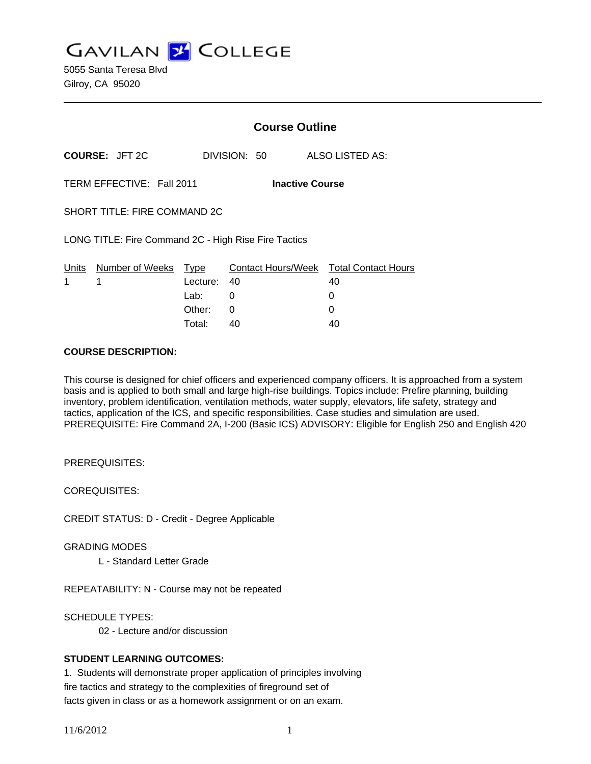**GAVILAN Z COLLEGE** 

5055 Santa Teresa Blvd Gilroy, CA 95020

|                                                      |                       | <b>Course Outline</b> |                                        |                 |  |
|------------------------------------------------------|-----------------------|-----------------------|----------------------------------------|-----------------|--|
|                                                      | <b>COURSE: JFT 2C</b> |                       | DIVISION: 50                           | ALSO LISTED AS: |  |
| TERM EFFECTIVE: Fall 2011<br><b>Inactive Course</b>  |                       |                       |                                        |                 |  |
| SHORT TITLE: FIRE COMMAND 2C                         |                       |                       |                                        |                 |  |
| LONG TITLE: Fire Command 2C - High Rise Fire Tactics |                       |                       |                                        |                 |  |
| Units                                                | Number of Weeks       | Type                  | Contact Hours/Week Total Contact Hours |                 |  |
| 1                                                    | 1                     | Lecture:              | 40                                     | 40              |  |
|                                                      |                       | Lab:                  | 0                                      | 0               |  |
|                                                      |                       | Other:                | $\Omega$                               | 0               |  |
|                                                      |                       | Total:                | 40                                     | 40              |  |

#### **COURSE DESCRIPTION:**

This course is designed for chief officers and experienced company officers. It is approached from a system basis and is applied to both small and large high-rise buildings. Topics include: Prefire planning, building inventory, problem identification, ventilation methods, water supply, elevators, life safety, strategy and tactics, application of the ICS, and specific responsibilities. Case studies and simulation are used. PREREQUISITE: Fire Command 2A, I-200 (Basic ICS) ADVISORY: Eligible for English 250 and English 420

PREREQUISITES:

COREQUISITES:

CREDIT STATUS: D - Credit - Degree Applicable

GRADING MODES

L - Standard Letter Grade

REPEATABILITY: N - Course may not be repeated

SCHEDULE TYPES:

02 - Lecture and/or discussion

## **STUDENT LEARNING OUTCOMES:**

1. Students will demonstrate proper application of principles involving fire tactics and strategy to the complexities of fireground set of facts given in class or as a homework assignment or on an exam.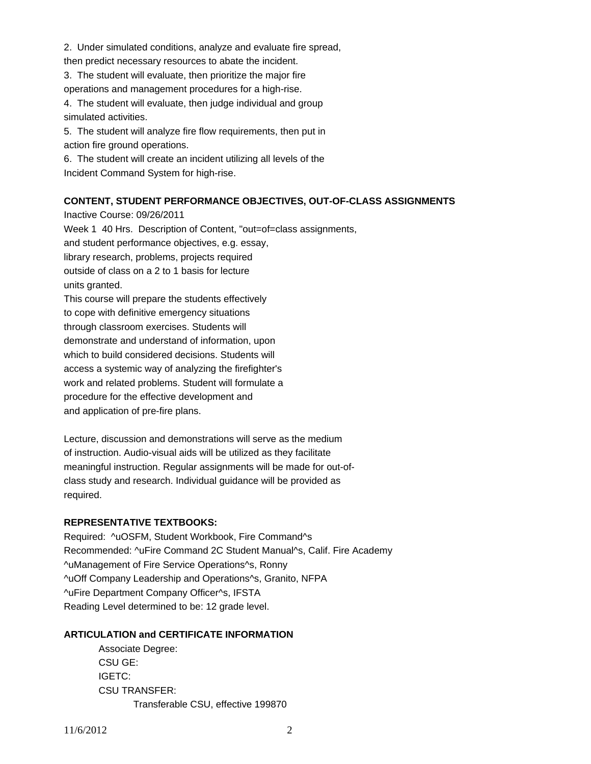2. Under simulated conditions, analyze and evaluate fire spread,

then predict necessary resources to abate the incident.

3. The student will evaluate, then prioritize the major fire operations and management procedures for a high-rise.

4. The student will evaluate, then judge individual and group simulated activities.

5. The student will analyze fire flow requirements, then put in action fire ground operations.

6. The student will create an incident utilizing all levels of the Incident Command System for high-rise.

# **CONTENT, STUDENT PERFORMANCE OBJECTIVES, OUT-OF-CLASS ASSIGNMENTS**

Inactive Course: 09/26/2011 Week 1 40 Hrs. Description of Content, "out=of=class assignments, and student performance objectives, e.g. essay, library research, problems, projects required outside of class on a 2 to 1 basis for lecture units granted. This course will prepare the students effectively to cope with definitive emergency situations through classroom exercises. Students will demonstrate and understand of information, upon which to build considered decisions. Students will access a systemic way of analyzing the firefighter's

work and related problems. Student will formulate a

procedure for the effective development and

and application of pre-fire plans.

Lecture, discussion and demonstrations will serve as the medium of instruction. Audio-visual aids will be utilized as they facilitate meaningful instruction. Regular assignments will be made for out-ofclass study and research. Individual guidance will be provided as required.

## **REPRESENTATIVE TEXTBOOKS:**

Required: ^uOSFM, Student Workbook, Fire Command^s Recommended: ^uFire Command 2C Student Manual^s, Calif. Fire Academy ^uManagement of Fire Service Operations^s, Ronny ^uOff Company Leadership and Operations^s, Granito, NFPA ^uFire Department Company Officer^s, IFSTA Reading Level determined to be: 12 grade level.

## **ARTICULATION and CERTIFICATE INFORMATION**

 Associate Degree: CSU GE: IGETC: CSU TRANSFER: Transferable CSU, effective 199870